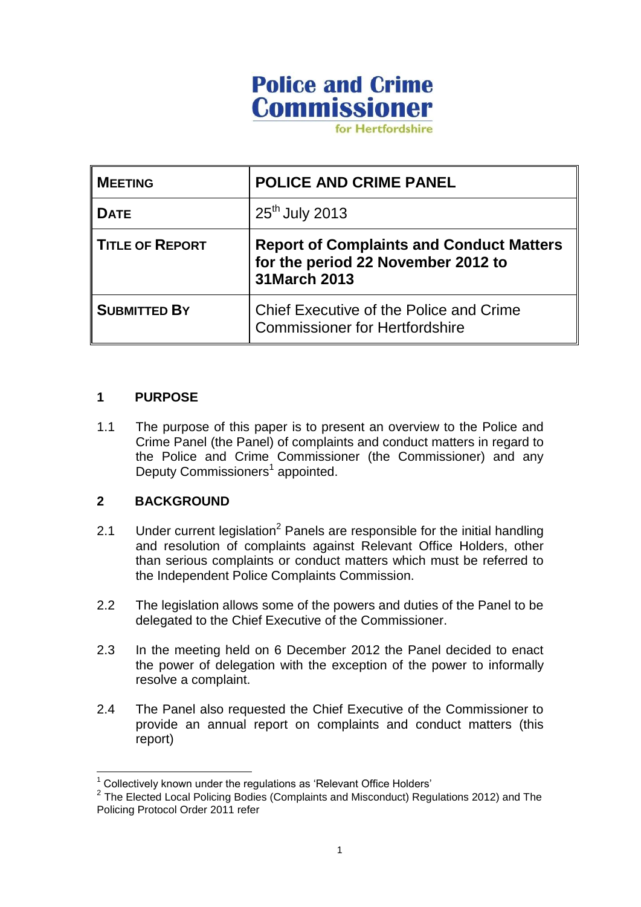# **Police and Crime Commissioner**

for Hertfordshire

| <b>MEETING</b>         | POLICE AND CRIME PANEL                                                                                 |
|------------------------|--------------------------------------------------------------------------------------------------------|
| Dате                   | 25 <sup>th</sup> July 2013                                                                             |
| <b>TITLE OF REPORT</b> | <b>Report of Complaints and Conduct Matters</b><br>for the period 22 November 2012 to<br>31 March 2013 |
| <b>SUBMITTED BY</b>    | Chief Executive of the Police and Crime<br><b>Commissioner for Hertfordshire</b>                       |

### **1 PURPOSE**

1.1 The purpose of this paper is to present an overview to the Police and Crime Panel (the Panel) of complaints and conduct matters in regard to the Police and Crime Commissioner (the Commissioner) and any Deputy Commissioners<sup>1</sup> appointed.

### **2 BACKGROUND**

 $\overline{1}$ 

- 2.1 Under current legislation<sup>2</sup> Panels are responsible for the initial handling and resolution of complaints against Relevant Office Holders, other than serious complaints or conduct matters which must be referred to the Independent Police Complaints Commission.
- 2.2 The legislation allows some of the powers and duties of the Panel to be delegated to the Chief Executive of the Commissioner.
- 2.3 In the meeting held on 6 December 2012 the Panel decided to enact the power of delegation with the exception of the power to informally resolve a complaint.
- 2.4 The Panel also requested the Chief Executive of the Commissioner to provide an annual report on complaints and conduct matters (this report)

 $1$  Collectively known under the regulations as 'Relevant Office Holders'

 $2$  The Elected Local Policing Bodies (Complaints and Misconduct) Regulations 2012) and The Policing Protocol Order 2011 refer